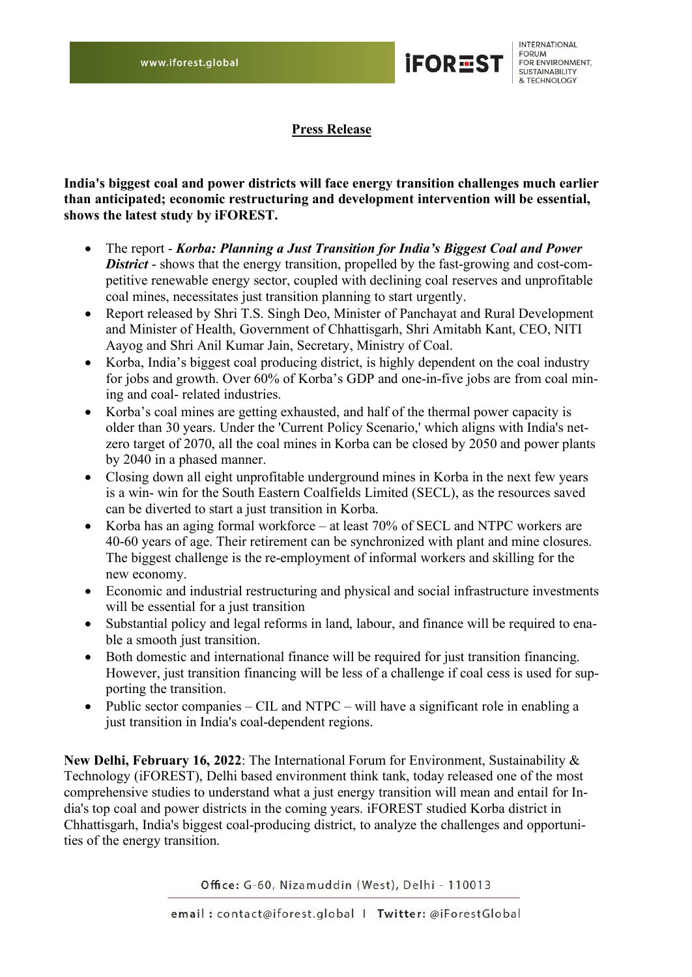

## **Press Release**

**India's biggest coal and power districts will face energy transition challenges much earlier than anticipated; economic restructuring and development intervention will be essential, shows the latest study by iFOREST.**

- The report *Korba: Planning a Just Transition for India's Biggest Coal and Power* **District** - shows that the energy transition, propelled by the fast-growing and cost-competitive renewable energy sector, coupled with declining coal reserves and unprofitable coal mines, necessitates just transition planning to start urgently.
- Report released by Shri T.S. Singh Deo, Minister of Panchayat and Rural Development and Minister of Health, Government of Chhattisgarh, Shri Amitabh Kant, CEO, NITI Aayog and Shri Anil Kumar Jain, Secretary, Ministry of Coal.
- Korba, India's biggest coal producing district, is highly dependent on the coal industry for jobs and growth. Over 60% of Korba's GDP and one-in-five jobs are from coal mining and coal- related industries.
- Korba's coal mines are getting exhausted, and half of the thermal power capacity is older than 30 years. Under the 'Current Policy Scenario,' which aligns with India's netzero target of 2070, all the coal mines in Korba can be closed by 2050 and power plants by 2040 in a phased manner.
- Closing down all eight unprofitable underground mines in Korba in the next few years is a win- win for the South Eastern Coalfields Limited (SECL), as the resources saved can be diverted to start a just transition in Korba.
- Korba has an aging formal workforce at least 70% of SECL and NTPC workers are 40-60 years of age. Their retirement can be synchronized with plant and mine closures. The biggest challenge is the re-employment of informal workers and skilling for the new economy.
- Economic and industrial restructuring and physical and social infrastructure investments will be essential for a just transition
- Substantial policy and legal reforms in land, labour, and finance will be required to enable a smooth just transition.
- Both domestic and international finance will be required for just transition financing. However, just transition financing will be less of a challenge if coal cess is used for supporting the transition.
- Public sector companies CIL and NTPC will have a significant role in enabling a just transition in India's coal-dependent regions.

**New Delhi, February 16, 2022**: The International Forum for Environment, Sustainability & Technology (iFOREST), Delhi based environment think tank, today released one of the most comprehensive studies to understand what a just energy transition will mean and entail for India's top coal and power districts in the coming years. iFOREST studied Korba district in Chhattisgarh, India's biggest coal-producing district, to analyze the challenges and opportunities of the energy transition.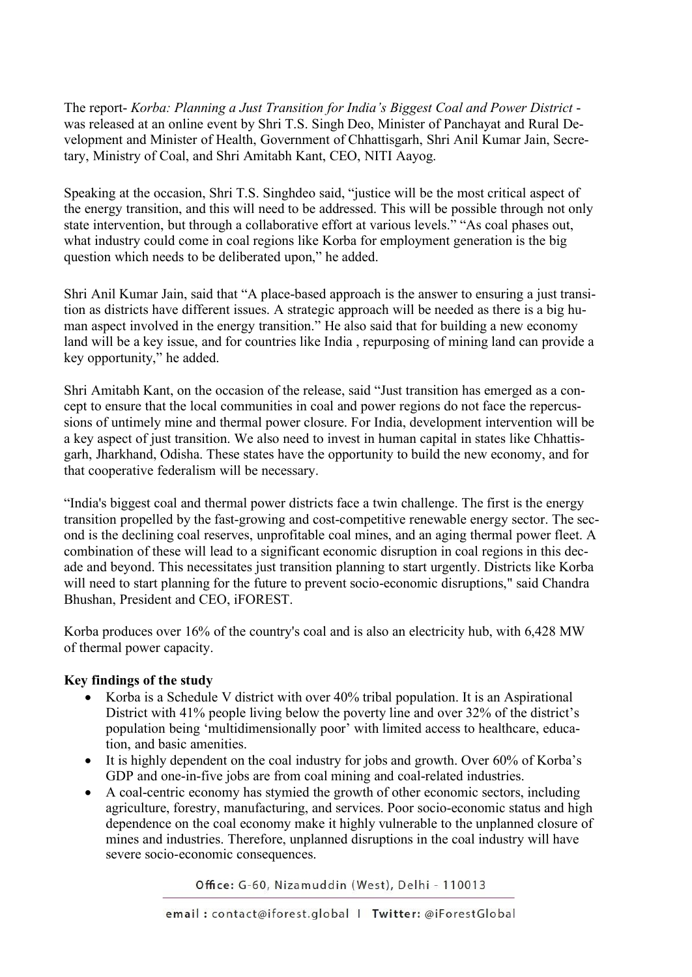The report- *Korba: Planning a Just Transition for India's Biggest Coal and Power District* was released at an online event by Shri T.S. Singh Deo, Minister of Panchayat and Rural Development and Minister of Health, Government of Chhattisgarh, Shri Anil Kumar Jain, Secretary, Ministry of Coal, and Shri Amitabh Kant, CEO, NITI Aayog.

Speaking at the occasion, Shri T.S. Singhdeo said, "justice will be the most critical aspect of the energy transition, and this will need to be addressed. This will be possible through not only state intervention, but through a collaborative effort at various levels." "As coal phases out, what industry could come in coal regions like Korba for employment generation is the big question which needs to be deliberated upon," he added.

Shri Anil Kumar Jain, said that "A place-based approach is the answer to ensuring a just transition as districts have different issues. A strategic approach will be needed as there is a big human aspect involved in the energy transition." He also said that for building a new economy land will be a key issue, and for countries like India , repurposing of mining land can provide a key opportunity," he added.

Shri Amitabh Kant, on the occasion of the release, said "Just transition has emerged as a concept to ensure that the local communities in coal and power regions do not face the repercussions of untimely mine and thermal power closure. For India, development intervention will be a key aspect of just transition. We also need to invest in human capital in states like Chhattisgarh, Jharkhand, Odisha. These states have the opportunity to build the new economy, and for that cooperative federalism will be necessary.

"India's biggest coal and thermal power districts face a twin challenge. The first is the energy transition propelled by the fast-growing and cost-competitive renewable energy sector. The second is the declining coal reserves, unprofitable coal mines, and an aging thermal power fleet. A combination of these will lead to a significant economic disruption in coal regions in this decade and beyond. This necessitates just transition planning to start urgently. Districts like Korba will need to start planning for the future to prevent socio-economic disruptions," said Chandra Bhushan, President and CEO, iFOREST.

Korba produces over 16% of the country's coal and is also an electricity hub, with 6,428 MW of thermal power capacity.

## **Key findings of the study**

- Korba is a Schedule V district with over 40% tribal population. It is an Aspirational District with 41% people living below the poverty line and over 32% of the district's population being 'multidimensionally poor' with limited access to healthcare, education, and basic amenities.
- It is highly dependent on the coal industry for jobs and growth. Over 60% of Korba's GDP and one-in-five jobs are from coal mining and coal-related industries.
- A coal-centric economy has stymied the growth of other economic sectors, including agriculture, forestry, manufacturing, and services. Poor socio-economic status and high dependence on the coal economy make it highly vulnerable to the unplanned closure of mines and industries. Therefore, unplanned disruptions in the coal industry will have severe socio-economic consequences.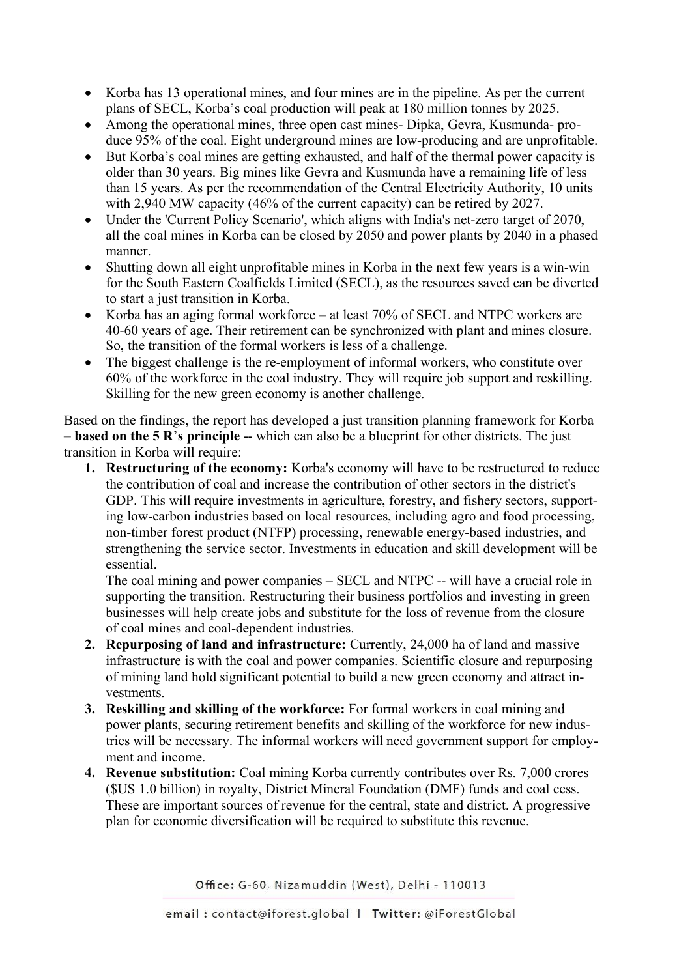- Korba has 13 operational mines, and four mines are in the pipeline. As per the current plans of SECL, Korba's coal production will peak at 180 million tonnes by 2025.
- Among the operational mines, three open cast mines- Dipka, Gevra, Kusmunda- produce 95% of the coal. Eight underground mines are low-producing and are unprofitable.
- But Korba's coal mines are getting exhausted, and half of the thermal power capacity is older than 30 years. Big mines like Gevra and Kusmunda have a remaining life of less than 15 years. As per the recommendation of the Central Electricity Authority, 10 units with 2,940 MW capacity (46% of the current capacity) can be retired by 2027.
- Under the 'Current Policy Scenario', which aligns with India's net-zero target of 2070, all the coal mines in Korba can be closed by 2050 and power plants by 2040 in a phased manner.
- Shutting down all eight unprofitable mines in Korba in the next few years is a win-win for the South Eastern Coalfields Limited (SECL), as the resources saved can be diverted to start a just transition in Korba.
- Korba has an aging formal workforce at least 70% of SECL and NTPC workers are 40-60 years of age. Their retirement can be synchronized with plant and mines closure. So, the transition of the formal workers is less of a challenge.
- The biggest challenge is the re-employment of informal workers, who constitute over 60% of the workforce in the coal industry. They will require job support and reskilling. Skilling for the new green economy is another challenge.

Based on the findings, the report has developed a just transition planning framework for Korba – **based on the 5 R**'**s principle** -- which can also be a blueprint for other districts. The just transition in Korba will require:

**1. Restructuring of the economy:** Korba's economy will have to be restructured to reduce the contribution of coal and increase the contribution of other sectors in the district's GDP. This will require investments in agriculture, forestry, and fishery sectors, supporting low-carbon industries based on local resources, including agro and food processing, non-timber forest product (NTFP) processing, renewable energy-based industries, and strengthening the service sector. Investments in education and skill development will be essential.

The coal mining and power companies – SECL and NTPC -- will have a crucial role in supporting the transition. Restructuring their business portfolios and investing in green businesses will help create jobs and substitute for the loss of revenue from the closure of coal mines and coal-dependent industries.

- **2. Repurposing of land and infrastructure:** Currently, 24,000 ha of land and massive infrastructure is with the coal and power companies. Scientific closure and repurposing of mining land hold significant potential to build a new green economy and attract investments.
- **3. Reskilling and skilling of the workforce:** For formal workers in coal mining and power plants, securing retirement benefits and skilling of the workforce for new industries will be necessary. The informal workers will need government support for employment and income.
- **4. Revenue substitution:** Coal mining Korba currently contributes over Rs. 7,000 crores (\$US 1.0 billion) in royalty, District Mineral Foundation (DMF) funds and coal cess. These are important sources of revenue for the central, state and district. A progressive plan for economic diversification will be required to substitute this revenue.